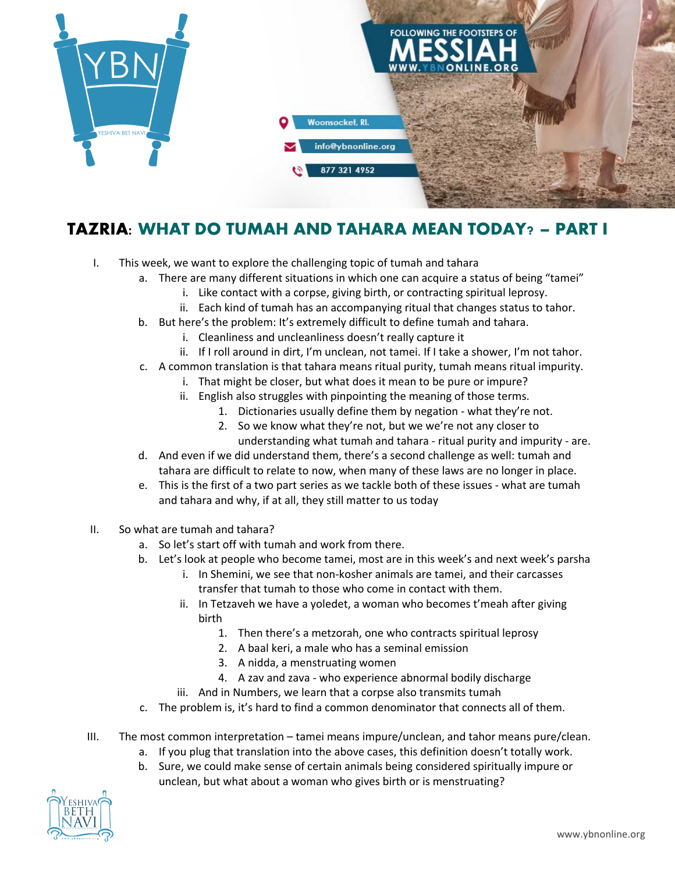

## **TAZRIA: WHAT DO TUMAH AND TAHARA MEAN TODAY? – PART I**

- I. This week, we want to explore the challenging topic of tumah and tahara
	- a. There are many different situations in which one can acquire a status of being "tamei"
		- i. Like contact with a corpse, giving birth, or contracting spiritual leprosy.
		- ii. Each kind of tumah has an accompanying ritual that changes status to tahor.
	- b. But here's the problem: It's extremely difficult to define tumah and tahara.
		- i. Cleanliness and uncleanliness doesn't really capture it
		- ii. If I roll around in dirt, I'm unclean, not tamei. If I take a shower, I'm not tahor.
	- c. A common translation is that tahara means ritual purity, tumah means ritual impurity.
		- i. That might be closer, but what does it mean to be pure or impure?
		- ii. English also struggles with pinpointing the meaning of those terms.
			- 1. Dictionaries usually define them by negation what they're not.
			- 2. So we know what they're not, but we we're not any closer to understanding what tumah and tahara - ritual purity and impurity - are.
	- d. And even if we did understand them, there's a second challenge as well: tumah and tahara are difficult to relate to now, when many of these laws are no longer in place.
	- e. This is the first of a two part series as we tackle both of these issues what are tumah and tahara and why, if at all, they still matter to us today
- II. So what are tumah and tahara?
	- a. So let's start off with tumah and work from there.
	- b. Let's look at people who become tamei, most are in this week's and next week's parsha
		- i. In Shemini, we see that non-kosher animals are tamei, and their carcasses transfer that tumah to those who come in contact with them.
		- ii. In Tetzaveh we have a yoledet, a woman who becomes t'meah after giving birth
			- 1. Then there's a metzorah, one who contracts spiritual leprosy
			- 2. A baal keri, a male who has a seminal emission
			- 3. A nidda, a menstruating women
			- 4. A zav and zava who experience abnormal bodily discharge
		- iii. And in Numbers, we learn that a corpse also transmits tumah
	- c. The problem is, it's hard to find a common denominator that connects all of them.
- III. The most common interpretation tamei means impure/unclean, and tahor means pure/clean.
	- a. If you plug that translation into the above cases, this definition doesn't totally work.
	- b. Sure, we could make sense of certain animals being considered spiritually impure or unclean, but what about a woman who gives birth or is menstruating?

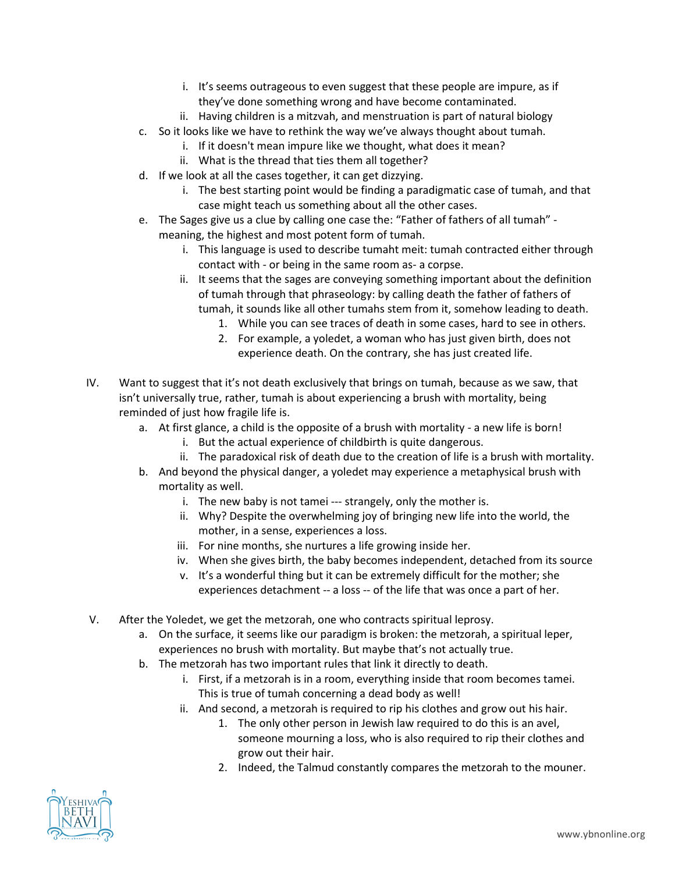- i. It's seems outrageous to even suggest that these people are impure, as if they've done something wrong and have become contaminated.
- ii. Having children is a mitzvah, and menstruation is part of natural biology
- c. So it looks like we have to rethink the way we've always thought about tumah.
	- i. If it doesn't mean impure like we thought, what does it mean?
	- ii. What is the thread that ties them all together?
- d. If we look at all the cases together, it can get dizzying.
	- i. The best starting point would be finding a paradigmatic case of tumah, and that case might teach us something about all the other cases.
- e. The Sages give us a clue by calling one case the: "Father of fathers of all tumah" meaning, the highest and most potent form of tumah.
	- i. This language is used to describe tumaht meit: tumah contracted either through contact with - or being in the same room as- a corpse.
	- ii. It seems that the sages are conveying something important about the definition of tumah through that phraseology: by calling death the father of fathers of tumah, it sounds like all other tumahs stem from it, somehow leading to death.
		- 1. While you can see traces of death in some cases, hard to see in others.
		- 2. For example, a yoledet, a woman who has just given birth, does not experience death. On the contrary, she has just created life.
- IV. Want to suggest that it's not death exclusively that brings on tumah, because as we saw, that isn't universally true, rather, tumah is about experiencing a brush with mortality, being reminded of just how fragile life is.
	- a. At first glance, a child is the opposite of a brush with mortality a new life is born!
		- i. But the actual experience of childbirth is quite dangerous.
		- ii. The paradoxical risk of death due to the creation of life is a brush with mortality.
	- b. And beyond the physical danger, a yoledet may experience a metaphysical brush with mortality as well.
		- i. The new baby is not tamei --- strangely, only the mother is.
		- ii. Why? Despite the overwhelming joy of bringing new life into the world, the mother, in a sense, experiences a loss.
		- iii. For nine months, she nurtures a life growing inside her.
		- iv. When she gives birth, the baby becomes independent, detached from its source
		- v. It's a wonderful thing but it can be extremely difficult for the mother; she experiences detachment -- a loss -- of the life that was once a part of her.
- V. After the Yoledet, we get the metzorah, one who contracts spiritual leprosy.
	- a. On the surface, it seems like our paradigm is broken: the metzorah, a spiritual leper, experiences no brush with mortality. But maybe that's not actually true.
	- b. The metzorah has two important rules that link it directly to death.
		- i. First, if a metzorah is in a room, everything inside that room becomes tamei. This is true of tumah concerning a dead body as well!
		- ii. And second, a metzorah is required to rip his clothes and grow out his hair.
			- 1. The only other person in Jewish law required to do this is an avel, someone mourning a loss, who is also required to rip their clothes and grow out their hair.
			- 2. Indeed, the Talmud constantly compares the metzorah to the mouner.